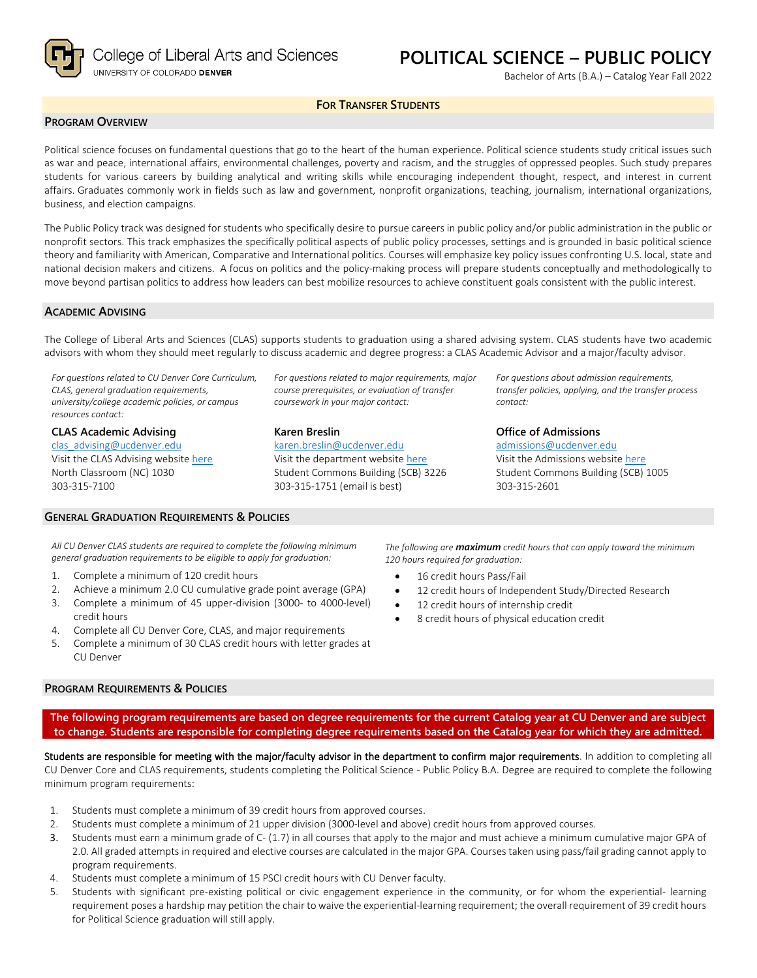

# **POLITICAL SCIENCE – PUBLIC POLICY**

Bachelor of Arts (B.A.) – Catalog Year Fall 2022

#### **FOR TRANSFER STUDENTS**

#### **PROGRAM OVERVIEW**

Political science focuses on fundamental questions that go to the heart of the human experience. Political science students study critical issues such as war and peace, international affairs, environmental challenges, poverty and racism, and the struggles of oppressed peoples. Such study prepares students for various careers by building analytical and writing skills while encouraging independent thought, respect, and interest in current affairs. Graduates commonly work in fields such as law and government, nonprofit organizations, teaching, journalism, international organizations, business, and election campaigns.

The Public Policy track was designed for students who specifically desire to pursue careers in public policy and/or public administration in the public or nonprofit sectors. This track emphasizes the specifically political aspects of public policy processes, settings and is grounded in basic political science theory and familiarity with American, Comparative and International politics. Courses will emphasize key policy issues confronting U.S. local, state and national decision makers and citizens. A focus on politics and the policy-making process will prepare students conceptually and methodologically to move beyond partisan politics to address how leaders can best mobilize resources to achieve constituent goals consistent with the public interest.

#### **ACADEMIC ADVISING**

The College of Liberal Arts and Sciences (CLAS) supports students to graduation using a shared advising system. CLAS students have two academic advisors with whom they should meet regularly to discuss academic and degree progress: a CLAS Academic Advisor and a major/faculty advisor.

*For questions related to CU Denver Core Curriculum, CLAS, general graduation requirements, university/college academic policies, or campus resources contact:*

**CLAS Academic Advising** [clas\\_advising@ucdenver.edu](mailto:clas_advising@ucdenver.edu) Visit the CLAS Advising websit[e here](https://clas.ucdenver.edu/advising/) North Classroom (NC) 1030 303-315-7100

*For questions related to major requirements, major course prerequisites, or evaluation of transfer coursework in your major contact:*

#### **Karen Breslin**

[karen.breslin@ucdenver.edu](mailto:karen.breslin@ucdenver.edu)

Visit the department website [here](https://clas.ucdenver.edu/polisci/) Student Commons Building (SCB) 3226 303-315-1751 (email is best)

*For questions about admission requirements, transfer policies, applying, and the transfer process contact:*

#### **Office of Admissions**

[admissions@ucdenver.edu](mailto:admissions@ucdenver.edu) Visit the Admissions website [here](http://www.ucdenver.edu/admissions/Pages/index.aspx) Student Commons Building (SCB) 1005 303-315-2601

## **GENERAL GRADUATION REQUIREMENTS & POLICIES**

*All CU Denver CLAS students are required to complete the following minimum general graduation requirements to be eligible to apply for graduation:*

- 1. Complete a minimum of 120 credit hours
- 2. Achieve a minimum 2.0 CU cumulative grade point average (GPA)
- 3. Complete a minimum of 45 upper-division (3000- to 4000-level)
- credit hours 4. Complete all CU Denver Core, CLAS, and major requirements
- 5. Complete a minimum of 30 CLAS credit hours with letter grades at
- CU Denver

#### **PROGRAM REQUIREMENTS & POLICIES**

*120 hours required for graduation:* 16 credit hours Pass/Fail

*The following are maximum credit hours that can apply toward the minimum* 

- 12 credit hours of Independent Study/Directed Research
- 12 credit hours of internship credit
- 8 credit hours of physical education credit

**The following program requirements are based on degree requirements for the current Catalog year at CU Denver and are subject to change. Students are responsible for completing degree requirements based on the Catalog year for which they are admitted.**

Students are responsible for meeting with the major/faculty advisor in the department to confirm major requirements. In addition to completing all CU Denver Core and CLAS requirements, students completing the Political Science - Public Policy B.A. Degree are required to complete the following minimum program requirements:

- 1. Students must complete a minimum of 39 credit hours from approved courses.
- 2. Students must complete a minimum of 21 upper division (3000-level and above) credit hours from approved courses.
- 3. Students must earn a minimum grade of C- (1.7) in all courses that apply to the major and must achieve a minimum cumulative major GPA of 2.0. All graded attempts in required and elective courses are calculated in the major GPA. Courses taken using pass/fail grading cannot apply to program requirements.
- 4. Students must complete a minimum of 15 PSCI credit hours with CU Denver faculty.
- 5. Students with significant pre-existing political or civic engagement experience in the community, or for whom the experiential- learning requirement poses a hardship may petition the chair to waive the experiential-learning requirement; the overall requirement of 39 credit hours for Political Science graduation will still apply.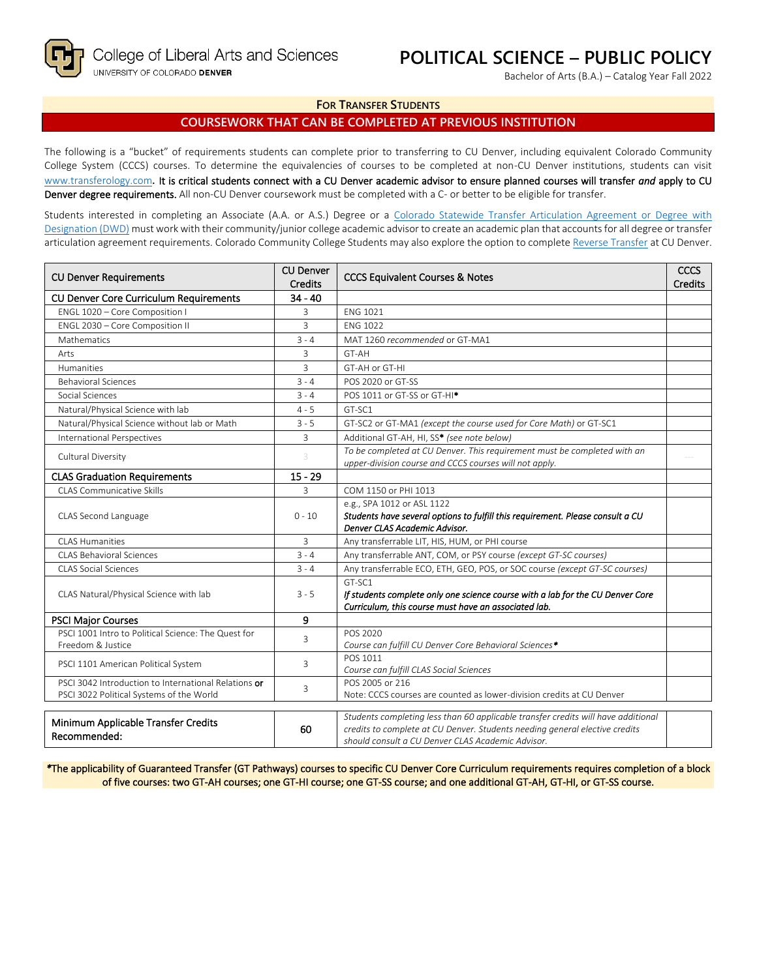# **POLITICAL SCIENCE – PUBLIC POLICY**

Bachelor of Arts (B.A.) – Catalog Year Fall 2022

#### **FOR TRANSFER STUDENTS**

### **COURSEWORK THAT CAN BE COMPLETED AT PREVIOUS INSTITUTION**

The following is a "bucket" of requirements students can complete prior to transferring to CU Denver, including equivalent Colorado Community College System (CCCS) courses. To determine the equivalencies of courses to be completed at non-CU Denver institutions, students can visit [www.transferology.com](http://www.transferology.com/)**.** It is critical students connect with a CU Denver academic advisor to ensure planned courses will transfer *and* apply to CU Denver degree requirements. All non-CU Denver coursework must be completed with a C- or better to be eligible for transfer.

Students interested in completing an Associate (A.A. or A.S.) Degree or a Colorado Statewide Transfer Articulation Agreement or Degree with [Designation \(DWD\)](https://highered.colorado.gov/transfer-degrees) must work with their community/junior college academic advisor to create an academic plan that accounts for all degree or transfer articulation agreement requirements. Colorado Community College Students may also explore the option to complet[e Reverse Transfer](https://highered.colorado.gov/students/attending-college/colorado-reverse-transfer) at CU Denver.

| <b>CU Denver Requirements</b>                                                                    | <b>CU Denver</b><br><b>Credits</b> | <b>CCCS Equivalent Courses &amp; Notes</b>                                                                                                                                                                            | <b>CCCS</b><br><b>Credits</b> |
|--------------------------------------------------------------------------------------------------|------------------------------------|-----------------------------------------------------------------------------------------------------------------------------------------------------------------------------------------------------------------------|-------------------------------|
| <b>CU Denver Core Curriculum Requirements</b>                                                    | $34 - 40$                          |                                                                                                                                                                                                                       |                               |
| ENGL 1020 - Core Composition I                                                                   | 3                                  | <b>ENG 1021</b>                                                                                                                                                                                                       |                               |
| ENGL 2030 - Core Composition II                                                                  | 3                                  | <b>ENG 1022</b>                                                                                                                                                                                                       |                               |
| Mathematics                                                                                      | $3 - 4$                            | MAT 1260 recommended or GT-MA1                                                                                                                                                                                        |                               |
| Arts                                                                                             | 3                                  | GT-AH                                                                                                                                                                                                                 |                               |
| Humanities                                                                                       | 3                                  | GT-AH or GT-HI                                                                                                                                                                                                        |                               |
| <b>Behavioral Sciences</b>                                                                       | $3 - 4$                            | POS 2020 or GT-SS                                                                                                                                                                                                     |                               |
| Social Sciences                                                                                  | $3 - 4$                            | POS 1011 or GT-SS or GT-HI <sup>*</sup>                                                                                                                                                                               |                               |
| Natural/Physical Science with lab                                                                | $4 - 5$                            | GT-SC1                                                                                                                                                                                                                |                               |
| Natural/Physical Science without lab or Math                                                     | $3 - 5$                            | GT-SC2 or GT-MA1 (except the course used for Core Math) or GT-SC1                                                                                                                                                     |                               |
| <b>International Perspectives</b>                                                                | 3                                  | Additional GT-AH, HI, SS* (see note below)                                                                                                                                                                            |                               |
| Cultural Diversity                                                                               | 3                                  | To be completed at CU Denver. This requirement must be completed with an<br>upper-division course and CCCS courses will not apply.                                                                                    |                               |
| <b>CLAS Graduation Requirements</b>                                                              | $15 - 29$                          |                                                                                                                                                                                                                       |                               |
| CLAS Communicative Skills                                                                        | 3                                  | COM 1150 or PHI 1013                                                                                                                                                                                                  |                               |
| CLAS Second Language                                                                             | $0 - 10$                           | e.g., SPA 1012 or ASL 1122<br>Students have several options to fulfill this requirement. Please consult a CU<br>Denver CLAS Academic Advisor.                                                                         |                               |
| <b>CLAS Humanities</b>                                                                           | 3                                  | Any transferrable LIT, HIS, HUM, or PHI course                                                                                                                                                                        |                               |
| <b>CLAS Behavioral Sciences</b>                                                                  | $3 - 4$                            | Any transferrable ANT, COM, or PSY course (except GT-SC courses)                                                                                                                                                      |                               |
| <b>CLAS Social Sciences</b>                                                                      | $3 - 4$                            | Any transferrable ECO, ETH, GEO, POS, or SOC course (except GT-SC courses)                                                                                                                                            |                               |
| CLAS Natural/Physical Science with lab                                                           | $3 - 5$                            | GT-SC1<br>If students complete only one science course with a lab for the CU Denver Core<br>Curriculum, this course must have an associated lab.                                                                      |                               |
| <b>PSCI Major Courses</b>                                                                        | 9                                  |                                                                                                                                                                                                                       |                               |
| PSCI 1001 Intro to Political Science: The Quest for<br>Freedom & Justice                         | 3                                  | POS 2020<br>Course can fulfill CU Denver Core Behavioral Sciences*                                                                                                                                                    |                               |
| PSCI 1101 American Political System                                                              | 3                                  | POS 1011<br>Course can fulfill CLAS Social Sciences                                                                                                                                                                   |                               |
| PSCI 3042 Introduction to International Relations or<br>PSCI 3022 Political Systems of the World | 3                                  | POS 2005 or 216<br>Note: CCCS courses are counted as lower-division credits at CU Denver                                                                                                                              |                               |
| Minimum Applicable Transfer Credits<br>Recommended:                                              | 60                                 | Students completing less than 60 applicable transfer credits will have additional<br>credits to complete at CU Denver. Students needing general elective credits<br>should consult a CU Denver CLAS Academic Advisor. |                               |

*\**The applicability of Guaranteed Transfer (GT Pathways) courses to specific CU Denver Core Curriculum requirements requires completion of a block of five courses: two GT-AH courses; one GT-HI course; one GT-SS course; and one additional GT-AH, GT-HI, or GT-SS course.